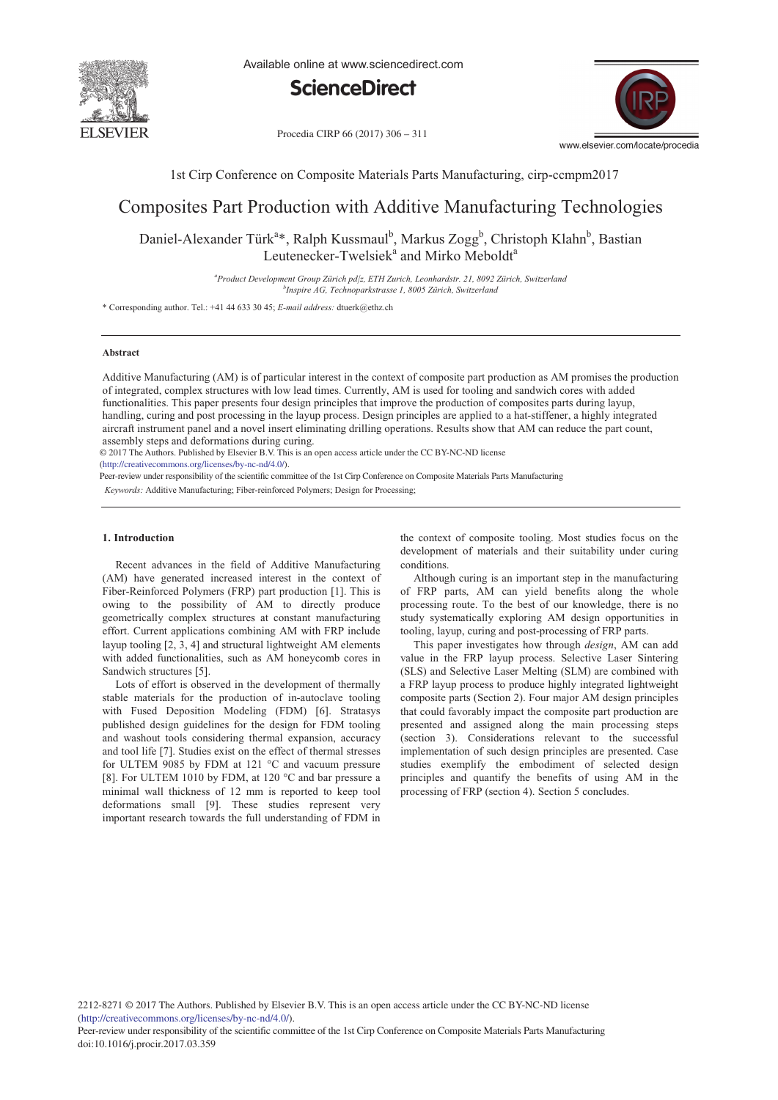

Available online at www.sciencedirect.com



Procedia CIRP 66 (2017) 306 - 311



1st Cirp Conference on Composite Materials Parts Manufacturing, cirp-ccmpm2017

# Composites Part Production with Additive Manufacturing Technologies

Daniel-Alexander Türk<sup>a</sup>\*, Ralph Kussmaul<sup>b</sup>, Markus Zogg<sup>b</sup>, Christoph Klahn<sup>b</sup>, Bastian Leutenecker-Twelsiek<sup>a</sup> and Mirko Meboldt<sup>a</sup>

> *a Product Development Group Zürich pd|z, ETH Zurich, Leonhardstr. 21, 8092 Zürich, Switzerland b Inspire AG, Technoparkstrasse 1, 8005 Zürich, Switzerland*

\* Corresponding author. Tel.: +41 44 633 30 45; *E-mail address:* dtuerk@ethz.ch

# **Abstract**

Additive Manufacturing (AM) is of particular interest in the context of composite part production as AM promises the production of integrated, complex structures with low lead times. Currently, AM is used for tooling and sandwich cores with added functionalities. This paper presents four design principles that improve the production of composites parts during layup, handling, curing and post processing in the layup process. Design principles are applied to a hat-stiffener, a highly integrated aircraft instrument panel and a novel insert eliminating drilling operations. Results show that AM can reduce the part count, assembly steps and deformations during curing.

© 2017 The Authors. Published by Elsevier B.V. © 2017 The Authors. Published by Elsevier B.V. This is an open access article under the CC BY-NC-ND license

(http://creativecommons.org/licenses/by-nc-nd/4.0/).

Peer-review under responsibility of the scientific committee of the 1st Cirp Conference on Composite Materials Parts Manufacturing

*Keywords:* Additive Manufacturing; Fiber-reinforced Polymers; Design for Processing;

# **1. Introduction**

Recent advances in the field of Additive Manufacturing (AM) have generated increased interest in the context of Fiber-Reinforced Polymers (FRP) part production [1]. This is owing to the possibility of AM to directly produce geometrically complex structures at constant manufacturing effort. Current applications combining AM with FRP include layup tooling [2, 3, 4] and structural lightweight AM elements with added functionalities, such as AM honeycomb cores in Sandwich structures [5].

Lots of effort is observed in the development of thermally stable materials for the production of in-autoclave tooling with Fused Deposition Modeling (FDM) [6]. Stratasys published design guidelines for the design for FDM tooling and washout tools considering thermal expansion, accuracy and tool life [7]. Studies exist on the effect of thermal stresses for ULTEM 9085 by FDM at 121 °C and vacuum pressure [8]. For ULTEM 1010 by FDM, at 120 °C and bar pressure a minimal wall thickness of 12 mm is reported to keep tool deformations small [9]. These studies represent very important research towards the full understanding of FDM in the context of composite tooling. Most studies focus on the development of materials and their suitability under curing conditions.

Although curing is an important step in the manufacturing of FRP parts, AM can yield benefits along the whole processing route. To the best of our knowledge, there is no study systematically exploring AM design opportunities in tooling, layup, curing and post-processing of FRP parts.

This paper investigates how through *design*, AM can add value in the FRP layup process. Selective Laser Sintering (SLS) and Selective Laser Melting (SLM) are combined with a FRP layup process to produce highly integrated lightweight composite parts (Section 2). Four major AM design principles that could favorably impact the composite part production are presented and assigned along the main processing steps (section 3). Considerations relevant to the successful implementation of such design principles are presented. Case studies exemplify the embodiment of selected design principles and quantify the benefits of using AM in the processing of FRP (section 4). Section 5 concludes.

2212-8271 © 2017 The Authors. Published by Elsevier B.V. This is an open access article under the CC BY-NC-ND license (http://creativecommons.org/licenses/by-nc-nd/4.0/).

Peer-review under responsibility of the scientific committee of the 1st Cirp Conference on Composite Materials Parts Manufacturing doi: 10.1016/j.procir.2017.03.359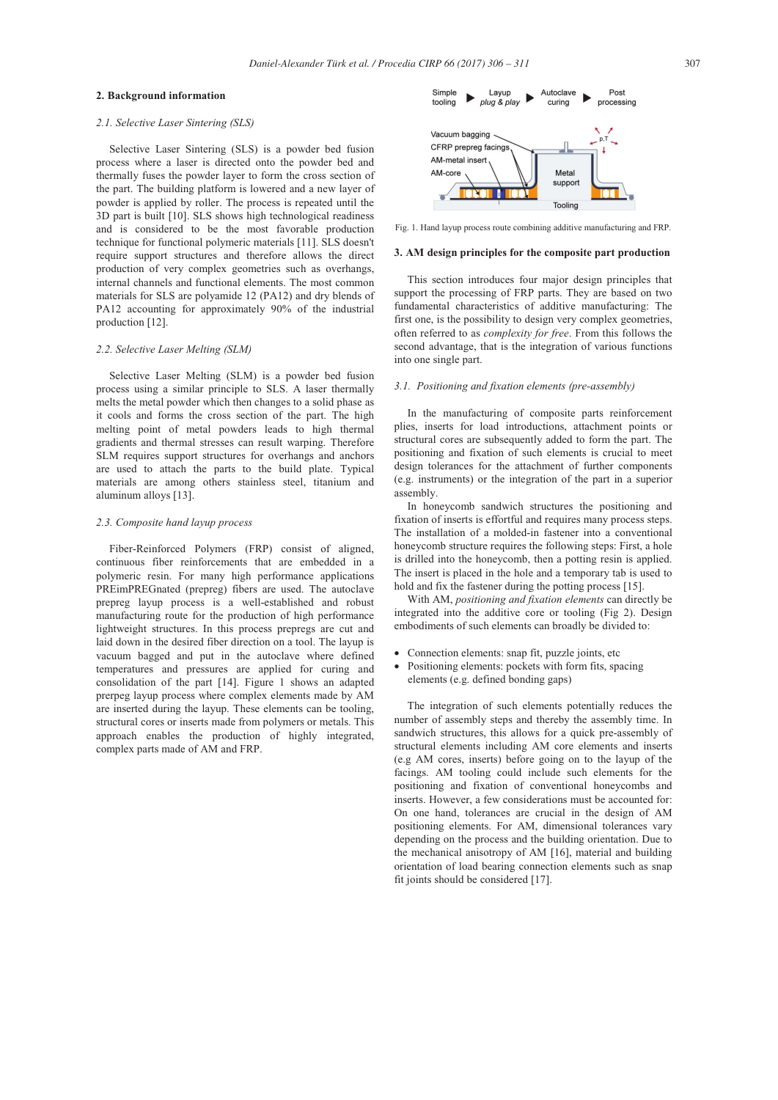# **2. Background information**

# *2.1. Selective Laser Sintering (SLS)*

Selective Laser Sintering (SLS) is a powder bed fusion process where a laser is directed onto the powder bed and thermally fuses the powder layer to form the cross section of the part. The building platform is lowered and a new layer of powder is applied by roller. The process is repeated until the 3D part is built [10]. SLS shows high technological readiness and is considered to be the most favorable production technique for functional polymeric materials [11]. SLS doesn't require support structures and therefore allows the direct production of very complex geometries such as overhangs, internal channels and functional elements. The most common materials for SLS are polyamide 12 (PA12) and dry blends of PA12 accounting for approximately 90% of the industrial production [12].

# *2.2. Selective Laser Melting (SLM)*

Selective Laser Melting (SLM) is a powder bed fusion process using a similar principle to SLS. A laser thermally melts the metal powder which then changes to a solid phase as it cools and forms the cross section of the part. The high melting point of metal powders leads to high thermal gradients and thermal stresses can result warping. Therefore SLM requires support structures for overhangs and anchors are used to attach the parts to the build plate. Typical materials are among others stainless steel, titanium and aluminum alloys [13].

### *2.3. Composite hand layup process*

Fiber-Reinforced Polymers (FRP) consist of aligned, continuous fiber reinforcements that are embedded in a polymeric resin. For many high performance applications PREimPREGnated (prepreg) fibers are used. The autoclave prepreg layup process is a well-established and robust manufacturing route for the production of high performance lightweight structures. In this process prepregs are cut and laid down in the desired fiber direction on a tool. The layup is vacuum bagged and put in the autoclave where defined temperatures and pressures are applied for curing and consolidation of the part [14]. Figure 1 shows an adapted prerpeg layup process where complex elements made by AM are inserted during the layup. These elements can be tooling, structural cores or inserts made from polymers or metals. This approach enables the production of highly integrated, complex parts made of AM and FRP.



Fig. 1. Hand layup process route combining additive manufacturing and FRP.

#### **3. AM design principles for the composite part production**

This section introduces four major design principles that support the processing of FRP parts. They are based on two fundamental characteristics of additive manufacturing: The first one, is the possibility to design very complex geometries, often referred to as *complexity for free*. From this follows the second advantage, that is the integration of various functions into one single part.

#### *3.1. Positioning and fixation elements (pre-assembly)*

In the manufacturing of composite parts reinforcement plies, inserts for load introductions, attachment points or structural cores are subsequently added to form the part. The positioning and fixation of such elements is crucial to meet design tolerances for the attachment of further components (e.g. instruments) or the integration of the part in a superior assembly.

In honeycomb sandwich structures the positioning and fixation of inserts is effortful and requires many process steps. The installation of a molded-in fastener into a conventional honeycomb structure requires the following steps: First, a hole is drilled into the honeycomb, then a potting resin is applied. The insert is placed in the hole and a temporary tab is used to hold and fix the fastener during the potting process [15].

With AM, *positioning and fixation elements* can directly be integrated into the additive core or tooling (Fig 2). Design embodiments of such elements can broadly be divided to:

- Connection elements: snap fit, puzzle joints, etc
- Positioning elements: pockets with form fits, spacing elements (e.g. defined bonding gaps)

The integration of such elements potentially reduces the number of assembly steps and thereby the assembly time. In sandwich structures, this allows for a quick pre-assembly of structural elements including AM core elements and inserts (e.g AM cores, inserts) before going on to the layup of the facings. AM tooling could include such elements for the positioning and fixation of conventional honeycombs and inserts. However, a few considerations must be accounted for: On one hand, tolerances are crucial in the design of AM positioning elements. For AM, dimensional tolerances vary depending on the process and the building orientation. Due to the mechanical anisotropy of AM [16], material and building orientation of load bearing connection elements such as snap fit joints should be considered [17].